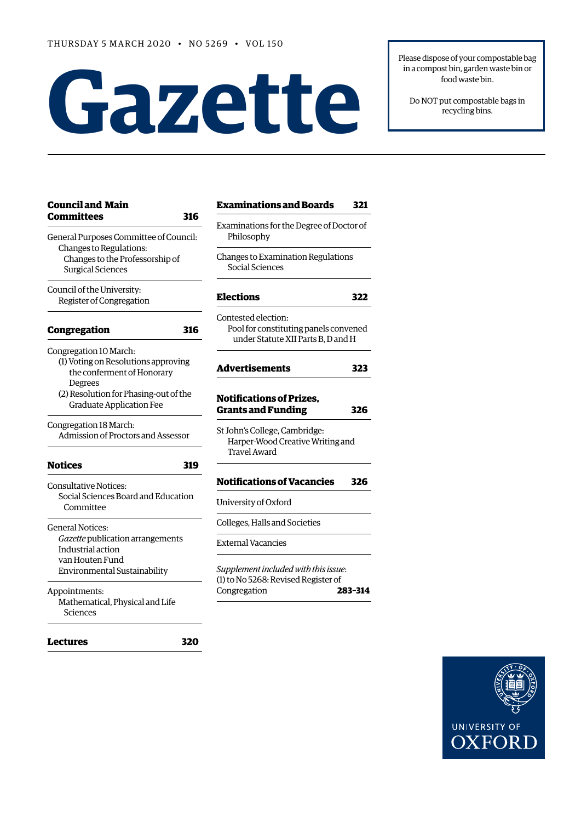# **Gazet te**

Please dispose of your compostable bag in a compost bin, garden waste bin or food waste bin.

Do NOT put compostable bags in recycling bins.

| <b>Council and Main</b><br><b>Committees</b><br>316                                                                              | <b>Examinations and Boards</b><br>321                                                              |
|----------------------------------------------------------------------------------------------------------------------------------|----------------------------------------------------------------------------------------------------|
| General Purposes Committee of Council:<br>Changes to Regulations:<br>Changes to the Professorship of<br><b>Surgical Sciences</b> | Examinations for the Degree of Doctor of<br>Philosophy                                             |
|                                                                                                                                  | Changes to Examination Regulations<br>Social Sciences                                              |
| Council of the University:<br>Register of Congregation                                                                           | <b>Elections</b><br>322                                                                            |
| Congregation<br>316                                                                                                              | Contested election:<br>Pool for constituting panels convened<br>under Statute XII Parts B, D and H |
| Congregation 10 March:<br>(1) Voting on Resolutions approving<br>the conferment of Honorary                                      | <b>Advertisements</b><br>323                                                                       |
| Degrees<br>(2) Resolution for Phasing-out of the<br><b>Graduate Application Fee</b>                                              | <b>Notifications of Prizes,</b><br><b>Grants and Funding</b><br>326                                |
| Congregation 18 March:<br>Admission of Proctors and Assessor                                                                     | St John's College, Cambridge:<br>Harper-Wood Creative Writing and<br><b>Travel Award</b>           |
| <b>Notices</b><br>319                                                                                                            |                                                                                                    |
| <b>Consultative Notices:</b><br>Social Sciences Board and Education<br>Committee                                                 | <b>Notifications of Vacancies</b><br>326                                                           |
|                                                                                                                                  | University of Oxford                                                                               |
| <b>General Notices:</b><br>Gazette publication arrangements<br>Industrial action                                                 | Colleges, Halls and Societies                                                                      |
|                                                                                                                                  | <b>External Vacancies</b>                                                                          |
| van Houten Fund<br>Environmental Sustainability                                                                                  | Supplement included with this issue:                                                               |
| Appointments:<br>Mathematical, Physical and Life<br>Sciences                                                                     | (1) to No 5268: Revised Register of<br>Congregation<br>283-314                                     |
| 320<br>Lectures                                                                                                                  |                                                                                                    |

## phy o Examination Regulations Sciences **[Elections 322](#page-7-0)** election: constituting panels convened **Statute XII Parts B, D and H [Advertisements 323](#page-7-0) Nons of Prizes, [Grants and Funding 326](#page-11-0)** 'ollege, Cambridge: -Wood Creative Writing and Award **[Notifications of Vacancies 326](#page-11-0)** of Oxford Halls and Societies 'acancies



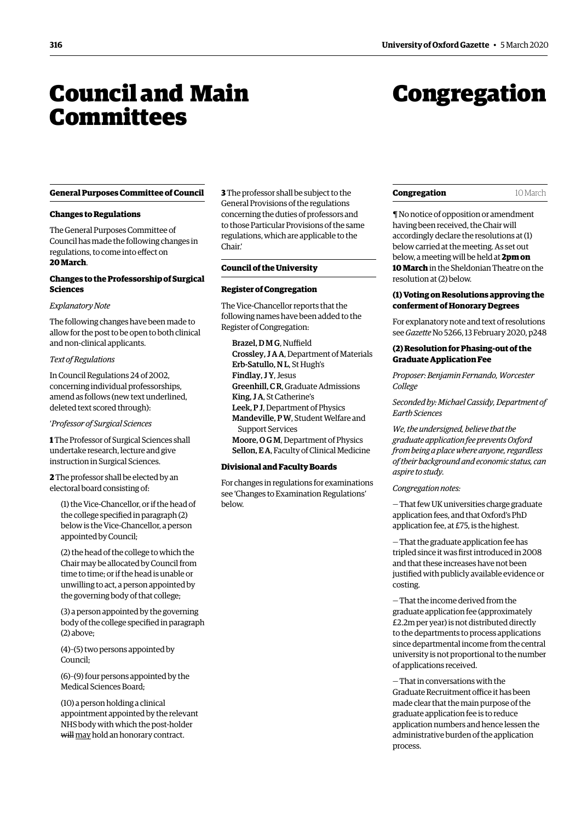## <span id="page-1-0"></span>Council and Main **Committees**

## Congregation

#### **General Purposes Committee of Council**

#### **Changes to Regulations**

The General Purposes Committee of Council has made the following changes in regulations, to come into effect on **20 March**.

#### **Changes to the Professorship of Surgical Sciences**

#### *Explanatory Note*

The following changes have been made to allow for the post to be open to both clinical and non-clinical applicants.

#### *Text of Regulations*

In Council Regulations 24 of 2002, concerning individual professorships, amend as follows (new text underlined, deleted text scored through):

#### '*Professor of Surgical Sciences*

**1** The Professor of Surgical Sciences shall undertake research, lecture and give instruction in Surgical Sciences.

**2** The professor shall be elected by an electoral board consisting of:

(1) the Vice-Chancellor, or if the head of the college specified in paragraph (2) below is the Vice-Chancellor, a person appointed by Council;

(2) the head of the college to which the Chair may be allocated by Council from time to time; or if the head is unable or unwilling to act, a person appointed by the governing body of that college;

(3) a person appointed by the governing body of the college specified in paragraph (2) above;

(4)–(5) two persons appointed by Council;

(6)–(9) four persons appointed by the Medical Sciences Board;

(10) a person holding a clinical appointment appointed by the relevant NHS body with which the post-holder will may hold an honorary contract.

**3** The professor shall be subject to the General Provisions of the regulations concerning the duties of professors and to those Particular Provisions of the same regulations, which are applicable to the Chair.'

#### **Council of the University**

#### **Register of Congregation**

The Vice-Chancellor reports that the following names have been added to the Register of Congregation:

Brazel, D M G, Nuffield Crossley, J A A, Department of Materials Erb-Satullo, N L, St Hugh's Findlay, J Y, Jesus Greenhill, C R, Graduate Admissions King, J A, St Catherine's Leek, P J, Department of Physics Mandeville, P W, Student Welfare and Support Services Moore, O G M, Department of Physics Sellon, E A, Faculty of Clinical Medicine

#### **Divisional and Faculty Boards**

For changes in regulations for examinations see ['Changes to Examination Regulations'](#page-7-1) below.

#### **Congregation** 10 March

¶ No notice of opposition or amendment having been received, the Chair will accordingly declare the resolutions at (1) below carried at the meeting. As set out below, a meeting will be held at **2pm on 10 March** in the Sheldonian Theatre on the resolution at (2) below.

#### **(1) Voting on Resolutions approving the conferment of Honorary Degrees**

For explanatory note and text of resolutions see *Gazette* No 5266, 13 February 2020, p248

#### **(2) Resolution for Phasing-out of the Graduate Application Fee**

*Proposer: Benjamin Fernando, Worcester College*

*Seconded by: Michael Cassidy, Department of Earth Sciences*

*We, the undersigned, believe that the graduate application fee prevents Oxford from being a place where anyone, regardless of their background and economic status, can aspire to study.*

#### *Congregation notes:*

— That few UK universities charge graduate application fees, and that Oxford's PhD application fee, at £75, is the highest.

— That the graduate application fee has tripled since it was first introduced in 2008 and that these increases have not been justified with publicly available evidence or costing.

— That the income derived from the graduate application fee (approximately £2.2m per year) is not distributed directly to the departments to process applications since departmental income from the central university is not proportional to the number of applications received.

— That in conversations with the Graduate Recruitment office it has been made clear that the main purpose of the graduate application fee is to reduce application numbers and hence lessen the administrative burden of the application process.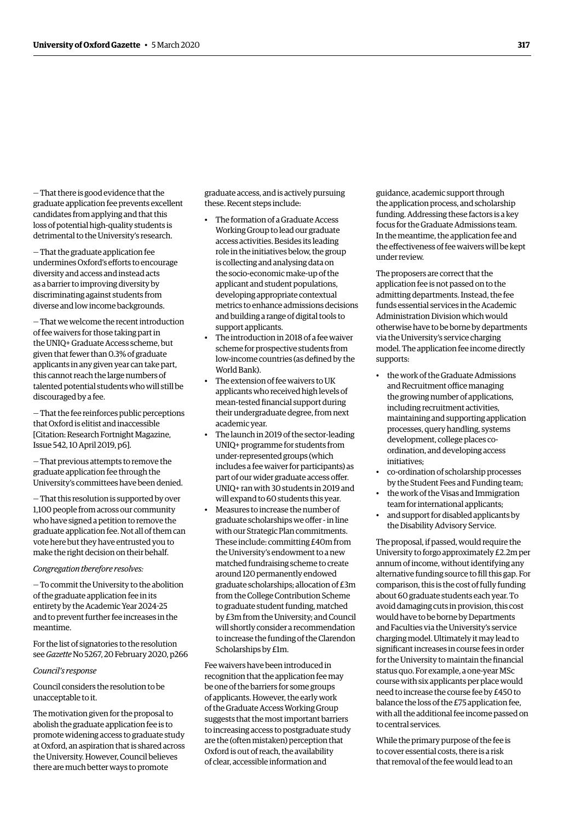— That there is good evidence that the graduate application fee prevents excellent candidates from applying and that this loss of potential high-quality students is detrimental to the University's research.

— That the graduate application fee undermines Oxford's efforts to encourage diversity and access and instead acts as a barrier to improving diversity by discriminating against students from diverse and low income backgrounds.

— That we welcome the recent introduction of fee waivers for those taking part in the UNIQ+ Graduate Access scheme, but given that fewer than 0.3% of graduate applicants in any given year can take part, this cannot reach the large numbers of talented potential students who will still be discouraged by a fee.

— That the fee reinforces public perceptions that Oxford is elitist and inaccessible [Citation: Research Fortnight Magazine, Issue 542, 10 April 2019, p6].

— That previous attempts to remove the graduate application fee through the University's committees have been denied.

— That this resolution is supported by over 1,100 people from across our community who have signed a petition to remove the graduate application fee. Not all of them can vote here but they have entrusted you to make the right decision on their behalf.

#### *Congregation therefore resolves:*

— To commit the University to the abolition of the graduate application fee in its entirety by the Academic Year 2024-25 and to prevent further fee increases in the meantime.

For the list of signatories to the resolution see *Gazette* No 5267, 20 February 2020, p266

#### *Council's response*

Council considers the resolution to be unacceptable to it.

The motivation given for the proposal to abolish the graduate application fee is to promote widening access to graduate study at Oxford, an aspiration that is shared across the University. However, Council believes there are much better ways to promote

graduate access, and is actively pursuing these. Recent steps include:

- The formation of a Graduate Access Working Group to lead our graduate access activities. Besides its leading role in the initiatives below, the group is collecting and analysing data on the socio-economic make-up of the applicant and student populations, developing appropriate contextual metrics to enhance admissions decisions and building a range of digital tools to support applicants.
- The introduction in 2018 of a fee waiver scheme for prospective students from low-income countries (as defined by the World Bank).
- The extension of fee waivers to UK applicants who received high levels of mean-tested financial support during their undergraduate degree, from next academic year.
- The launch in 2019 of the sector-leading UNIQ+ programme for students from under-represented groups (which includes a fee waiver for participants) as part of our wider graduate access offer. UNIQ+ ran with 30 students in 2019 and will expand to 60 students this year.
- Measures to increase the number of graduate scholarships we offer - in line with our Strategic Plan commitments. These include: committing £40m from the University's endowment to a new matched fundraising scheme to create around 120 permanently endowed graduate scholarships; allocation of £3m from the College Contribution Scheme to graduate student funding, matched by £3m from the University; and Council will shortly consider a recommendation to increase the funding of the Clarendon Scholarships by £1m.

Fee waivers have been introduced in recognition that the application fee may be one of the barriers for some groups of applicants. However, the early work of the Graduate Access Working Group suggests that the most important barriers to increasing access to postgraduate study are the (often mistaken) perception that Oxford is out of reach, the availability of clear, accessible information and

guidance, academic support through the application process, and scholarship funding. Addressing these factors is a key focus for the Graduate Admissions team. In the meantime, the application fee and the effectiveness of fee waivers will be kept under review.

The proposers are correct that the application fee is not passed on to the admitting departments. Instead, the fee funds essential services in the Academic Administration Division which would otherwise have to be borne by departments via the University's service charging model. The application fee income directly supports:

- the work of the Graduate Admissions and Recruitment office managing the growing number of applications, including recruitment activities, maintaining and supporting application processes, query handling, systems development, college places coordination, and developing access initiatives;
- co-ordination of scholarship processes by the Student Fees and Funding team;
- the work of the Visas and Immigration team for international applicants;
- and support for disabled applicants by the Disability Advisory Service.

The proposal, if passed, would require the University to forgo approximately £2.2m per annum of income, without identifying any alternative funding source to fill this gap. For comparison, this is the cost of fully funding about 60 graduate students each year. To avoid damaging cuts in provision, this cost would have to be borne by Departments and Faculties via the University's service charging model. Ultimately it may lead to significant increases in course fees in order for the University to maintain the financial status quo. For example, a one-year MSc course with six applicants per place would need to increase the course fee by £450 to balance the loss of the £75 application fee, with all the additional fee income passed on to central services.

While the primary purpose of the fee is to cover essential costs, there is a risk that removal of the fee would lead to an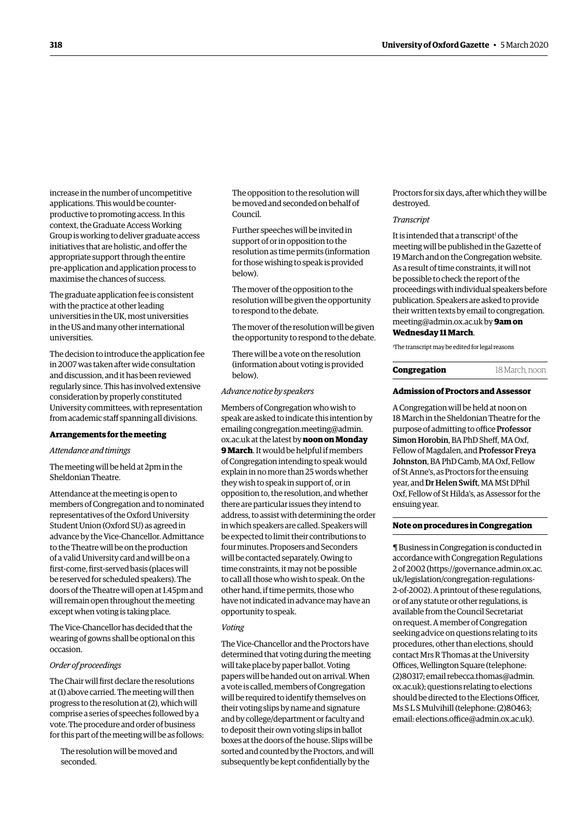increase in the number of uncompetitive applications. This would be counterproductive to promoting access. In this context, the Graduate Access Working Group is working to deliver graduate access initiatives that are holistic, and offer the appropriate support through the entire pre-application and application process to maximise the chances of success.

The graduate application fee is consistent with the practice at other leading universities in the UK, most universities in the US and many other international universities.

The decision to introduce the application fee in 2007 was taken after wide consultation and discussion, and it has been reviewed regularly since. This has involved extensive consideration by properly constituted University committees, with representation from academic staff spanning all divisions.

#### **Arrangements for the meeting**

#### *Attendance and timings*

The meeting will be held at 2pm in the Sheldonian Theatre.

Attendance at the meeting is open to members of Congregation and to nominated representatives of the Oxford University Student Union (Oxford SU) as agreed in advance by the Vice-Chancellor. Admittance to the Theatre will be on the production of a valid University card and will be on a first-come, first-served basis (places will be reserved for scheduled speakers). The doors of the Theatre will open at 1.45pm and will remain open throughout the meeting except when voting is taking place.

The Vice-Chancellor has decided that the wearing of gowns shall be optional on this occasion.

#### *Order of proceedings*

The Chair will first declare the resolutions at (1) above carried. The meeting will then progress to the resolution at (2), which will comprise a series of speeches followed by a vote. The procedure and order of business for this part of the meeting will be as follows:

The resolution will be moved and seconded.

The opposition to the resolution will be moved and seconded on behalf of Council.

Further speeches will be invited in support of or in opposition to the resolution as time permits (information for those wishing to speak is provided below).

The mover of the opposition to the resolution will be given the opportunity to respond to the debate.

The mover of the resolution will be given the opportunity to respond to the debate.

There will be a vote on the resolution (information about voting is provided below).

#### *Advance notice by speakers*

Members of Congregation who wish to speak are asked to indicate this intention by emailing congregation.meeting@admin. ox.ac.uk at the latest by **noon on Monday 9 March**. It would be helpful if members of Congregation intending to speak would explain in no more than 25 words whether they wish to speak in support of, or in opposition to, the resolution, and whether there are particular issues they intend to address, to assist with determining the order in which speakers are called. Speakers will be expected to limit their contributions to four minutes. Proposers and Seconders will be contacted separately. Owing to time constraints, it may not be possible to call all those who wish to speak. On the other hand, if time permits, those who have not indicated in advance may have an opportunity to speak.

#### *Voting*

The Vice-Chancellor and the Proctors have determined that voting during the meeting will take place by paper ballot. Voting papers will be handed out on arrival. When a vote is called, members of Congregation will be required to identify themselves on their voting slips by name and signature and by college/department or faculty and to deposit their own voting slips in ballot boxes at the doors of the house. Slips will be sorted and counted by the Proctors, and will subsequently be kept confidentially by the

Proctors for six days, after which they will be destroyed.

#### *Transcript*

It is intended that a transcript<sup>1</sup> of the meeting will be published in the Gazette of 19 March and on the Congregation website. As a result of time constraints, it will not be possible to check the report of the proceedings with individual speakers before publication. Speakers are asked to provide their written texts by email to congregation. [meeting@admin.ox.ac.uk by](mailto:meeting@admin.ox.ac.uk) **9am on Wednesday 11 March**.

1 The transcript may be edited for legal reasons

#### **Congregation** 18 March, noon

#### **Admission of Proctors and Assessor**

A Congregation will be held at noon on 18 March in the Sheldonian Theatre for the purpose of admitting to office Professor Simon Horobin, BA PhD Sheff, MA Oxf, Fellow of Magdalen, and Professor Freya Johnston, BA PhD Camb, MA Oxf, Fellow of St Anne's, as Proctors for the ensuing year, and Dr Helen Swift, MA MSt DPhil Oxf, Fellow of St Hilda's, as Assessor for the ensuing year.

#### **Note on procedures in Congregation**

¶ Business in Congregation is conducted in accordance with Congregation Regulations 2 of 2002 [\(https://governance.admin.ox.ac.](https://governance.admin.ox.ac.uk/legislation/congregation-regulations-2-of-2002) [uk/legislation/congregation-regulations-](https://governance.admin.ox.ac.uk/legislation/congregation-regulations-2-of-2002)[2-of-2002\). A](https://governance.admin.ox.ac.uk/legislation/congregation-regulations-2-of-2002) printout of these regulations, or of any statute or other regulations, is available from the Council Secretariat on request. A member of Congregation seeking advice on questions relating to its procedures, other than elections, should contact Mrs R Thomas at the University Offices, Wellington Square (telephone: (2)80317; email [rebecca.thomas@admin.](mailto:rebecca.thomas%40admin.ox.ac.uk?subject=) [ox.ac.uk](mailto:rebecca.thomas%40admin.ox.ac.uk?subject=)); questions relating to elections should be directed to the Elections Officer, Ms S L S Mulvihill (telephone: (2)80463; email: [elections.office@admin.ox.ac.uk\)](mailto:elections.office%40admin.ox.ac.uk?subject=).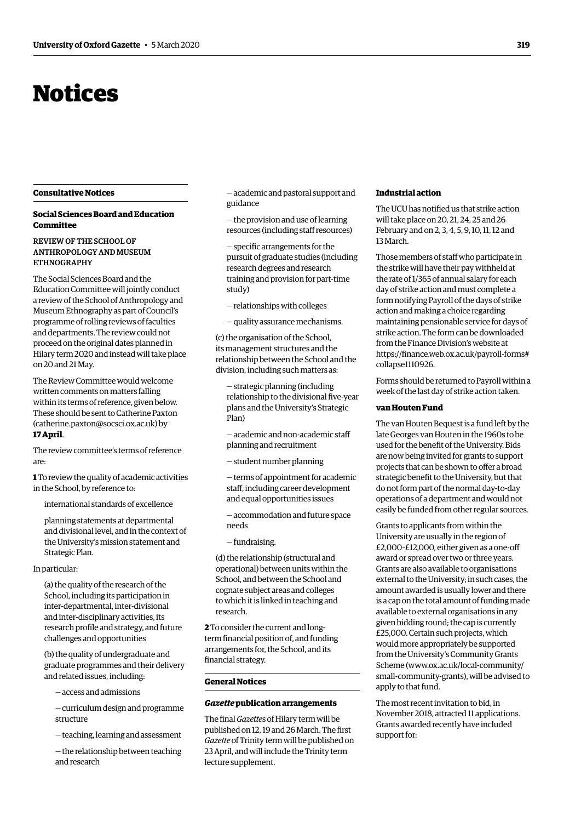## <span id="page-4-0"></span>Notices

#### **Consultative Notices**

#### **Social Sciences Board and Education Committee**

#### REVIEW OF THE SCHOOL OF ANTHROPOLOGY AND MUSEUM ETHNOGRAPHY

The Social Sciences Board and the Education Committee will jointly conduct a review of the School of Anthropology and Museum Ethnography as part of Council's programme of rolling reviews of faculties and departments. The review could not proceed on the original dates planned in Hilary term 2020 and instead will take place on 20 and 21 May.

The Review Committee would welcome written comments on matters falling within its terms of reference, given below. These should be sent to Catherine Paxton [\(catherine.paxton@socsci.ox.ac.uk\)](mailto:(catherine.paxton@socsci.ox.ac.uk) by **17 April**.

The review committee's terms of reference are:

**1** To review the quality of academic activities in the School, by reference to:

international standards of excellence

planning statements at departmental and divisional level, and in the context of the University's mission statement and Strategic Plan.

#### In particular:

(a) the quality of the research of the School, including its participation in inter-departmental, inter-divisional and inter-disciplinary activities, its research profile and strategy, and future challenges and opportunities

(b) the quality of undergraduate and graduate programmes and their delivery and related issues, including:

— access and admissions

— curriculum design and programme structure

— teaching, learning and assessment

— the relationship between teaching and research

— academic and pastoral support and guidance

— the provision and use of learning resources (including staff resources)

— specific arrangements for the pursuit of graduate studies (including research degrees and research training and provision for part-time study)

— relationships with colleges

— quality assurance mechanisms.

(c) the organisation of the School, its management structures and the relationship between the School and the division, including such matters as:

— strategic planning (including relationship to the divisional five-year plans and the University's Strategic Plan)

— academic and non-academic staff planning and recruitment

— student number planning

— terms of appointment for academic staff, including career development and equal opportunities issues

— accommodation and future space needs

— fundraising.

(d) the relationship (structural and operational) between units within the School, and between the School and cognate subject areas and colleges to which it is linked in teaching and research.

**2** To consider the current and longterm financial position of, and funding arrangements for, the School, and its financial strategy.

#### **General Notices**

#### *Gazette* **publication arrangements**

The final *Gazette*s of Hilary term will be published on 12, 19 and 26 March. The first *Gazette* of Trinity term will be published on 23 April, and will include the Trinity term lecture supplement.

#### **Industrial action**

The UCU has notified us that strike action will take place on 20, 21, 24, 25 and 26 February and on 2, 3, 4, 5, 9, 10, 11, 12 and 13 March.

Those members of staff who participate in the strike will have their pay withheld at the rate of 1/365 of annual salary for each day of strike action and must complete a form notifying Payroll of the days of strike action and making a choice regarding maintaining pensionable service for days of strike action. The form can be downloaded from the Finance Division's website at [https://finance.web.ox.ac.uk/payroll-forms#](https://finance.web.ox.ac.uk/payroll-forms# collapse1110926) collapse1110926.

Forms should be returned to Payroll within a week of the last day of strike action taken.

#### **van Houten Fund**

The van Houten Bequest is a fund left by the late Georges van Houten in the 1960s to be used for the benefit of the University. Bids are now being invited for grants to support projects that can be shown to offer a broad strategic benefit to the University, but that do not form part of the normal day-to-day operations of a department and would not easily be funded from other regular sources.

Grants to applicants from within the University are usually in the region of £2,000–£12,000, either given as a one-off award or spread over two or three years. Grants are also available to organisations external to the University; in such cases, the amount awarded is usually lower and there is a cap on the total amount of funding made available to external organisations in any given bidding round; the cap is currently £25,000. Certain such projects, which would more appropriately be supported from the University's Community Grants Scheme ([www.ox.ac.uk/local-community/](https://www.ox.ac.uk/local-community/small-community-grants),) [small-community-grants\),](https://www.ox.ac.uk/local-community/small-community-grants),) will be advised to apply to that fund.

The most recent invitation to bid, in November 2018, attracted 11 applications. Grants awarded recently have included support for: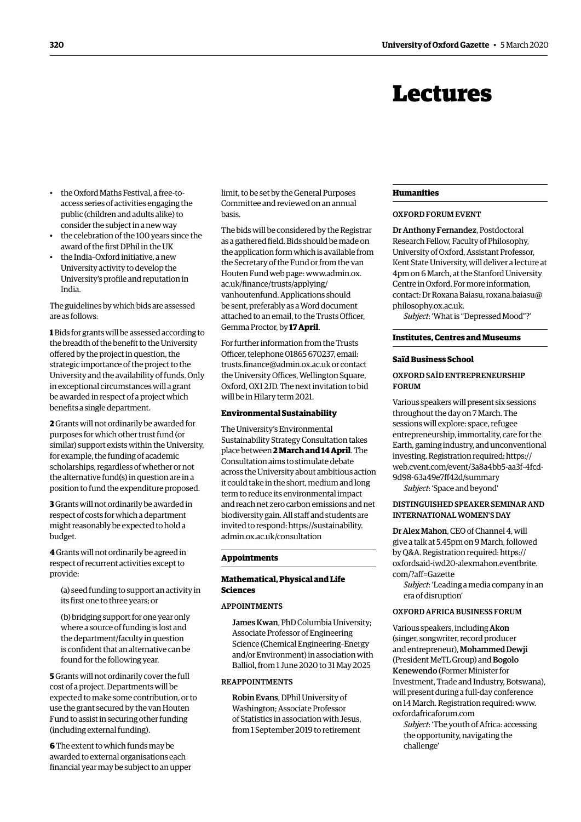## Lectures

- <span id="page-5-0"></span>• the Oxford Maths Festival, a free-toaccess series of activities engaging the public (children and adults alike) to consider the subject in a new way
- the celebration of the 100 years since the award of the first DPhil in the UK
- the India–Oxford initiative, a new University activity to develop the University's profile and reputation in India.

The guidelines by which bids are assessed are as follows:

**1** Bids for grants will be assessed according to the breadth of the benefit to the University offered by the project in question, the strategic importance of the project to the University and the availability of funds. Only in exceptional circumstances will a grant be awarded in respect of a project which benefits a single department.

**2** Grants will not ordinarily be awarded for purposes for which other trust fund (or similar) support exists within the University, for example, the funding of academic scholarships, regardless of whether or not the alternative fund(s) in question are in a position to fund the expenditure proposed.

**3** Grants will not ordinarily be awarded in respect of costs for which a department might reasonably be expected to hold a budget.

**4** Grants will not ordinarily be agreed in respect of recurrent activities except to provide:

(a) seed funding to support an activity in its first one to three years; or

(b) bridging support for one year only where a source of funding is lost and the department/faculty in question is confident that an alternative can be found for the following year.

**5** Grants will not ordinarily cover the full cost of a project. Departments will be expected to make some contribution, or to use the grant secured by the van Houten Fund to assist in securing other funding (including external funding).

**6** The extent to which funds may be awarded to external organisations each financial year may be subject to an upper limit, to be set by the General Purposes Committee and reviewed on an annual basis.

The bids will be considered by the Registrar as a gathered field. Bids should be made on the application form which is available from the Secretary of the Fund or from the van Houten Fund web page: [www.admin.ox.](http://www.admin.ox.ac.uk/finance/trusts/applying/vanhoutenfund)  [ac.uk/finance/trusts/applying/](http://www.admin.ox.ac.uk/finance/trusts/applying/vanhoutenfund) [vanhoutenfund](http://www.admin.ox.ac.uk/finance/trusts/applying/vanhoutenfund). Applications should be sent, preferably as a Word document attached to an email, to the Trusts Officer, Gemma Proctor, by **17 April**.

For further information from the Trusts Officer, telephone 01865 670237, email: [trusts.finance@admin.ox.ac.uk](mailto:trusts.finance@admin.ox.ac.uk) or contact the University Offices, Wellington Square, Oxford, OX1 2JD. The next invitation to bid will be in Hilary term 2021.

#### **Environmental Sustainability**

The University's Environmental Sustainability Strategy Consultation takes place between **2 March and 14 April**. The Consultation aims to stimulate debate across the University about ambitious action it could take in the short, medium and long term to reduce its environmental impact and reach net zero carbon emissions and net biodiversity gain. All staff and students are invited to respond: [https://sustainability.](https://sustainability.admin.ox.ac.uk/consultation) [admin.ox.ac.uk/consultation](https://sustainability.admin.ox.ac.uk/consultation)

#### **Appointments**

#### **Mathematical, Physical and Life Sciences**

#### APPOINTMENTS

James Kwan, PhD Columbia University; Associate Professor of Engineering Science (Chemical Engineering–Energy and/or Environment) in association with Balliol, from 1 June 2020 to 31 May 2025

#### REAPPOINTMENTS

Robin Evans, DPhil University of Washington; Associate Professor of Statistics in association with Jesus, from 1 September 2019 to retirement

#### **Humanities**

#### OXFORD FORUM EVENT

Dr Anthony Fernandez, Postdoctoral Research Fellow, Faculty of Philosophy, University of Oxford, Assistant Professor, Kent State University, will deliver a lecture at 4pm on 6 March, at the Stanford University Centre in Oxford. For more information, contact: Dr Roxana Baiasu, [roxana.baiasu@](mailto:roxana.baiasu@philosophy.ox.ac.uk) [philosophy.ox.ac.uk](mailto:roxana.baiasu@philosophy.ox.ac.uk).

*Subject*: 'What is "Depressed Mood"?'

#### **Institutes, Centres and Museums**

#### **Saïd Business School**

#### OXFORD SAÏD ENTREPRENEURSHIP FORUM

Various speakers will present six sessions throughout the day on 7 March. The sessions will explore: space, refugee entrepreneurship, immortality, care for the Earth, gaming industry, and unconventional investing. Registration required: [https://](https://web.cvent.com/event/3a8a4bb5-aa3f-4fcd-9d98-63a49e7ff42d/summary) [web.cvent.com/event/3a8a4bb5-aa3f-4fcd-](https://web.cvent.com/event/3a8a4bb5-aa3f-4fcd-9d98-63a49e7ff42d/summary)[9d98-63a49e7ff42d/summary](https://web.cvent.com/event/3a8a4bb5-aa3f-4fcd-9d98-63a49e7ff42d/summary)

*Subject*: 'Space and beyond'

#### DISTINGUISHED SPEAKER SEMINAR AND INTERNATIONAL WOMEN'S DAY

Dr Alex Mahon, CEO of Channel 4, will give a talk at 5.45pm on 9 March, followed by Q&A. Registration required: [https://](https://oxfordsaid-iwd20-alexmahon.eventbrite.com/?aff=Gazette) [oxfordsaid-iwd20-alexmahon.eventbrite.](https://oxfordsaid-iwd20-alexmahon.eventbrite.com/?aff=Gazette) [com/?aff=Gazette](https://oxfordsaid-iwd20-alexmahon.eventbrite.com/?aff=Gazette) 

*Subject*: 'Leading a media company in an era of disruption'

#### OXFORD AFRICA BUSINESS FORUM

Various speakers, including Akon (singer, songwriter, record producer and entrepreneur), Mohammed Dewji (President MeTL Group) and Bogolo Kenewendo (Former Minister for Investment, Trade and Industry, Botswana), will present during a full-day conference on 14 March. Registration required: [www.](http://www.oxfordafricaforum.com) [oxfordafricaforum.com](http://www.oxfordafricaforum.com) 

*Subject*: 'The youth of Africa: accessing the opportunity, navigating the challenge'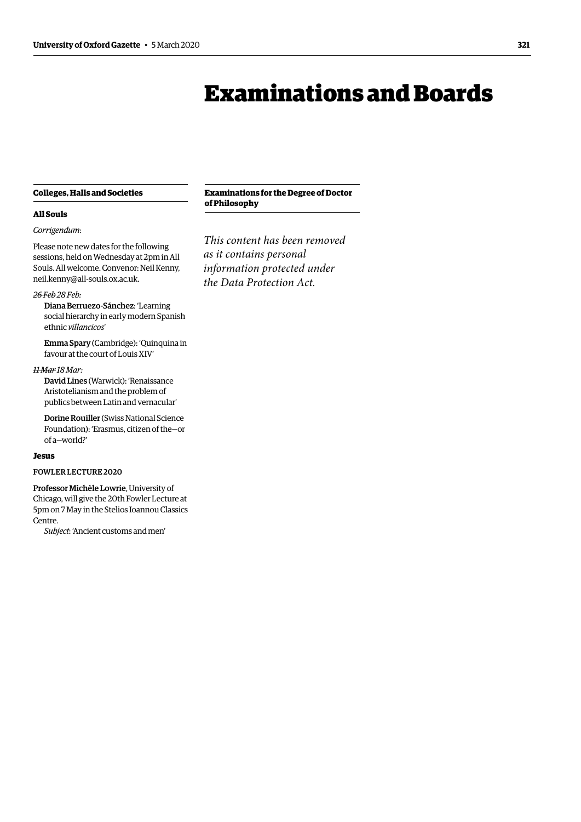## Examinations and Boards

#### <span id="page-6-0"></span>**Colleges, Halls and Societies**

#### **All Souls**

#### *Corrigendum*:

Please note new dates for the following sessions, held on Wednesday at 2pm in All Souls. All welcome. Convenor: Neil Kenny, [neil.kenny@all-souls.ox.ac.uk](mailto:neil.kenny%40all-souls.ox.ac.uk?subject=).

#### *26 Feb 28 Feb:*

Diana Berruezo-Sánchez: 'Learning social hierarchy in early modern Spanish ethnic *villancicos*'

Emma Spary (Cambridge): 'Quinquina in favour at the court of Louis XIV'

#### *11 Mar 18 Mar:*

David Lines (Warwick): 'Renaissance Aristotelianism and the problem of publics between Latin and vernacular'

Dorine Rouiller (Swiss National Science Foundation): 'Erasmus, citizen of the—or of a—world?'

#### **Jesus**

#### FOWLER LECTURE 2020

Professor Michèle Lowrie, University of Chicago, will give the 20th Fowler Lecture at 5pm on 7 May in the Stelios Ioannou Classics Centre.

*Subject*: 'Ancient customs and men'

#### **Examinations for the Degree of Doctor of Philosophy**

*This content has been removed as it contains personal information protected under the Data Protection Act.*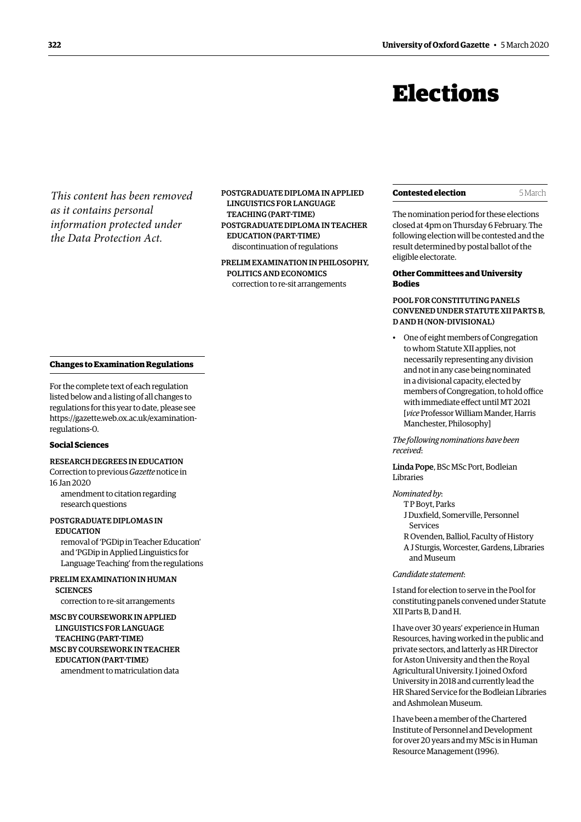## Elections

<span id="page-7-0"></span>*This content has been removed as it contains personal information protected under the Data Protection Act.*

POSTGRADUATE DIPLOMA IN APPLIED LINGUISTICS FOR LANGUAGE TEACHING (PART-TIME) POSTGRADUATE DIPLOMA IN TEACHER EDUCATION (PART-TIME) discontinuation of regulations

PRELIM EXAMINATION IN PHILOSOPHY, POLITICS AND ECONOMICS correction to re-sit arrangements

#### <span id="page-7-1"></span>**Changes to Examination Regulations**

For the complete text of each regulation listed below and a listing of all changes to regulations for this year to date, please see [https://gazette.web.ox.ac.uk/examination](https://gazette.web.ox.ac.uk/examination-regulations-0)[regulations-0](https://gazette.web.ox.ac.uk/examination-regulations-0).

#### **Social Sciences**

RESEARCH DEGREES IN EDUCATION Correction to previous *Gazette* notice in 16 Jan 2020

amendment to citation regarding research questions

### POSTGRADUATE DIPLOMAS IN

EDUCATION removal of 'PGDip in Teacher Education' and 'PGDip in Applied Linguistics for Language Teaching' from the regulations

#### PRELIM EXAMINATION IN HUMAN **SCIENCES**

correction to re-sit arrangements

MSC BY COURSEWORK IN APPLIED LINGUISTICS FOR LANGUAGE TEACHING (PART-TIME) MSC BY COURSEWORK IN TEACHER EDUCATION (PART-TIME) amendment to matriculation data

#### **Contested election** 5 March

The nomination period for these elections closed at 4pm on Thursday 6 February. The following election will be contested and the result determined by postal ballot of the eligible electorate.

#### **Other Committees and University Bodies**

POOL FOR CONSTITUTING PANELS CONVENED UNDER STATUTE XII PARTS B, D AND H (NON-DIVISIONAL)

• One of eight members of Congregation to whom Statute XII applies, not necessarily representing any division and not in any case being nominated in a divisional capacity, elected by members of Congregation, to hold office with immediate effect until MT 2021 [*vice* Professor William Mander, Harris Manchester, Philosophy]

*The following nominations have been received*:

Linda Pope, BSc MSc Port, Bodleian Libraries

#### *Nominated by*:

- T P Boyt, Parks J Duxfield, Somerville, Personnel
- Services
- R Ovenden, Balliol, Faculty of History
- A J Sturgis, Worcester, Gardens, Libraries and Museum

#### *Candidate statement*:

I stand for election to serve in the Pool for constituting panels convened under Statute XII Parts B, D and H.

I have over 30 years' experience in Human Resources, having worked in the public and private sectors, and latterly as HR Director for Aston University and then the Royal Agricultural University. I joined Oxford University in 2018 and currently lead the HR Shared Service for the Bodleian Libraries and Ashmolean Museum.

I have been a member of the Chartered Institute of Personnel and Development for over 20 years and my MSc is in Human Resource Management (1996).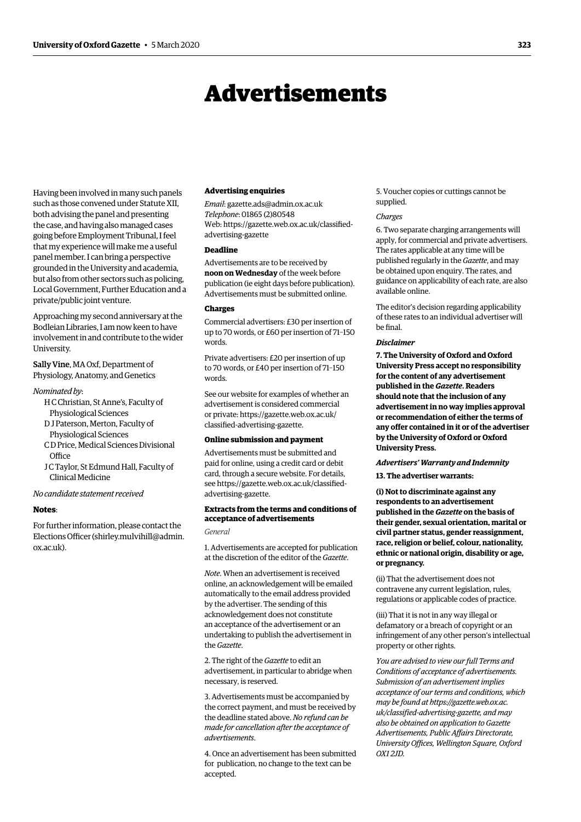## Advertisements

Having been involved in many such panels such as those convened under Statute XII, both advising the panel and presenting the case, and having also managed cases going before Employment Tribunal, I feel that my experience will make me a useful panel member. I can bring a perspective grounded in the University and academia, but also from other sectors such as policing, Local Government, Further Education and a private/public joint venture.

Approaching my second anniversary at the Bodleian Libraries, I am now keen to have involvement in and contribute to the wider University.

Sally Vine, MA Oxf, Department of Physiology, Anatomy, and Genetics

#### *Nominated by*:

- H C Christian, St Anne's, Faculty of Physiological Sciences
- D J Paterson, Merton, Faculty of Physiological Sciences
- C D Price, Medical Sciences Divisional **Office**
- J C Taylor, St Edmund Hall, Faculty of Clinical Medicine

*No candidate statement received* 

#### **Notes**:

For further information, please contact the Elections Officer [\(shirley.mulvihill@admin.](mailto:shirley.mulvihill@admin.ox.ac.uk)  [ox.ac.uk](http://ox.ac.uk)[\).](mailto:shirley.mulvihill@admin.ox.ac.uk)

#### **Advertising enquiries**

*Email*: [gazette.ads@admin.ox.ac.uk](mailto:gazette.ads%40admin.ox.ac.uk?subject=)  *Telephone*: 01865 (2)80548 Web: https:/[/gazette.web.ox.ac.uk/classified](https://gazette.web.ox.ac.uk/classified-advertising-gazette)[advertising](https://gazette.web.ox.ac.uk/classified-advertising-gazette)-gazette

#### **Deadline**

Advertisements are to be received by **noon on Wednesday** of the week before publication (ie eight days before publication). Advertisements must be submitted online.

#### **Charges**

Commercial advertisers: £30 per insertion of up to 70 words, or £60 per insertion of 71–150 words.

Private advertisers: £20 per insertion of up to 70 words, or £40 per insertion of 71–150 words.

See our website for examples of whether an advertisement is considered commercial or private: https:/[/gazette.web.ox.ac.uk/](https://gazette.web.ox.ac.uk/classified-advertising-gazette) [classified-advertising-](https://gazette.web.ox.ac.uk/classified-advertising-gazette)gazette.

#### **Online submission and payment**

Advertisements must be submitted and paid for online, using a credit card or debit card, through a secure website. For details, see https://[gazette.web.ox.ac.uk/classified](https://gazette.web.ox.ac.uk/classified-advertising-gazette)[advertising](https://gazette.web.ox.ac.uk/classified-advertising-gazette)-gazette.

#### **Extracts from the terms and conditions of acceptance of advertisements**

*General*

1. Advertisements are accepted for publication at the discretion of the editor of the *Gazette*.

*Note*. When an advertisement is received online, an acknowledgement will be emailed automatically to the email address provided by the advertiser. The sending of this acknow ledgement does not constitute an acceptance of the advertisement or an undertaking to publish the advertisement in the *Gazette*.

2. The right of the *Gazette* to edit an advertisement, in particular to abridge when necessary, is reserved.

3. Advertisements must be accompanied by the correct payment, and must be received by the deadline stated above. *No refund can be made for cancellation after the acceptance of advertisements*.

4. Once an advertisement has been submitted for publication, no change to the text can be accepted.

5. Voucher copies or cuttings cannot be supplied.

#### *Charges*

6. Two separate charging arrangements will apply, for commercial and private advertisers. The rates applicable at any time will be published regularly in the *Gazette*, and may be obtained upon enquiry. The rates, and guidance on applicability of each rate, are also available online.

The editor's decision regarding applicability of these rates to an individual advertiser will be final.

#### *Disclaimer*

**7. The University of Oxford and Oxford University Press accept no responsibility for the content of any adver tisement published in the** *Gazette***. Readers should note that the inclusion of any advertisement in no way implies approval or recommendation of either the terms of any offer contained in it or of the advertiser by the University of Oxford or Oxford University Press.**

#### *Advertisers' Warranty and Indemnity*

**13. The advertiser warrants:**

**(i) Not to discriminate against any respondents to an advertisement published in the** *Gazette* **on the basis of their gender, sexual orientation, marital or civil partner status, gender reassignment, race, religion or belief, colour, nationality, ethnic or national origin, disability or age, or pregnancy.**

(ii) That the advertisement does not contravene any current legislation, rules, regulations or applicable codes of practice.

(iii) That it is not in any way illegal or defamatory or a breach of copyright or an infringement of any other person's intellectual property or other rights.

*You are advised to view our full Terms and Conditions of acceptance of advertisements. Submission of an advertisement implies acceptance of our terms and conditions, which may be found at https:/[/gazette.web.ox.ac.](https://gazette.web.ox.ac.uk/classified-advertising-gazette) [uk/classified-advertising-](https://gazette.web.ox.ac.uk/classified-advertising-gazette)gazette, and may also be obtained on application to Gazette Advertisements, Public Affairs Directorate, University Offices, Wellington Square, Oxford OX1 2JD.*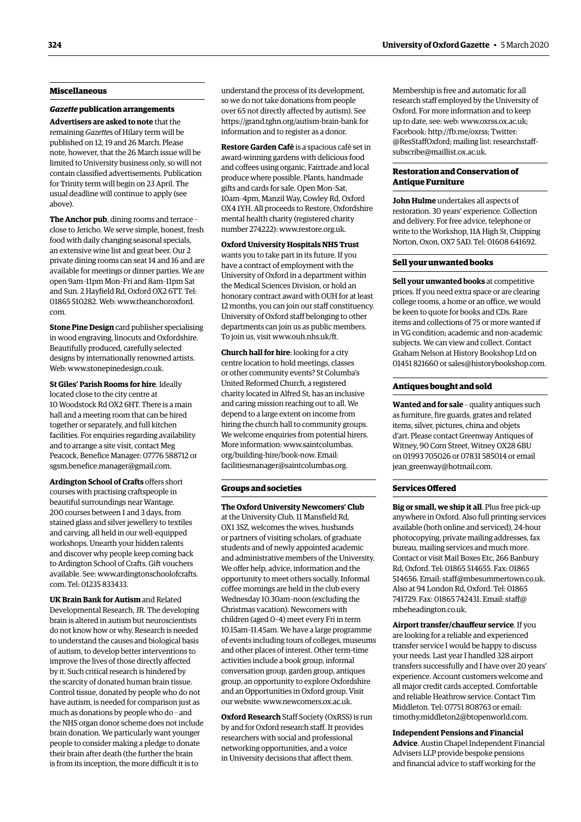#### **Miscellaneous**

#### *Gazette* **publication arrangements**

**Advertisers are asked to note** that the remaining *Gazette*s of Hilary term will be published on 12, 19 and 26 March. Please note, however, that the 26 March issue will be limited to University business only, so will not contain classified advertisements. Publication for Trinity term will begin on 23 April. The usual deadline will continue to apply (see above).

**The Anchor pub**, dining rooms and terrace – close to Jericho. We serve simple, honest, fresh food with daily changing seasonal specials, an extensive wine list and great beer. Our 2 private dining rooms can seat 14 and 16 and are available for meetings or dinner parties. We are open 9am–11pm Mon–Fri and 8am–11pm Sat and Sun. 2 Hayfield Rd, Oxford OX2 6TT. Tel: 01865 510282. Web: [www.theanchoroxford.](http://www.theanchoroxford.com) [com.](http://www.theanchoroxford.com)

**Stone Pine Design** card publisher specialising in wood engraving, linocuts and Oxfordshire. Beautifully produced, carefully selected designs by internationally renowned artists. Web: [www.stonepinedesign.co.uk](http://www.stonepinedesign.co.uk).

**St Giles' Parish Rooms for hire**. Ideally located close to the city centre at 10 Woodstock Rd OX2 6HT. There is a main hall and a meeting room that can be hired together or separately, and full kitchen facilities. For enquiries regarding availability and to arrange a site visit, contact Meg Peacock, Benefice Manager: 07776 588712 or [sgsm.benefice.manager@gmail.com](mailto:sgsm.benefice.manager@gmail.com).

**Ardington School of Crafts** offers short courses with practising craftspeople in beautiful surroundings near Wantage. 200 courses between 1 and 3 days, from stained glass and silver jewellery to textiles and carving, all held in our well-equipped workshops. Unearth your hidden talents and discover why people keep coming back to Ardington School of Crafts. Gift vouchers available. See: [www.ardingtonschoolofcrafts.](http://www.ardingtonschoolofcrafts.com) [com.](http://www.ardingtonschoolofcrafts.com) Tel: 01235 833433.

**UK Brain Bank for Autism** and Related Developmental Research, JR. The developing brain is altered in autism but neuroscientists do not know how or why. Research is needed to understand the causes and biological basis of autism, to develop better interventions to improve the lives of those directly affected by it. Such critical research is hindered by the scarcity of donated human brain tissue. Control tissue, donated by people who do not have autism, is needed for comparison just as much as donations by people who do – and the NHS organ donor scheme does not include brain donation. We particularly want younger people to consider making a pledge to donate their brain after death (the further the brain is from its inception, the more difficult it is to

understand the process of its development, so we do not take donations from people over 65 not directly affected by autism). See <https://grand.tghn.org/autism-brain-bank>for information and to register as a donor.

**Restore Garden Café** is a spacious café set in award-winning gardens with delicious food and coffees using organic, Fairtrade and local produce where possible. Plants, handmade gifts and cards for sale. Open Mon–Sat, 10am–4pm, Manzil Way, Cowley Rd, Oxford OX4 1YH. All proceeds to Restore, Oxfordshire mental health charity (registered charity number 274222): [www.restore.org.uk.](http://www.restore.org.uk)

**Oxford University Hospitals NHS Trust**  wants you to take part in its future. If you have a contract of employment with the University of Oxford in a department within the Medical Sciences Division, or hold an honorary contract award with OUH for at least 12 months, you can join our staff constituency. University of Oxford staff belonging to other departments can join us as public members. To join us, visit [www.ouh.nhs.uk/ft.](http://www.ouh.nhs.uk/ft)

**Church hall for hire**: looking for a city centre location to hold meetings, classes or other community events? St Columba's United Reformed Church, a registered charity located in Alfred St, has an inclusive and caring mission reaching out to all. We depend to a large extent on income from hiring the church hall to community groups. We welcome enquiries from potential hirers. More information: [www.saintcolumbas.](http://www.saintcolumbas.org/building-hire/book-now.) [org/building-hire/book-now.](http://www.saintcolumbas.org/building-hire/book-now.) Email: [facilitiesmanager@saintcolumbas.org.](mailto:facilitiesmanager@saintcolumbas.org)

#### **Groups and societies**

**The Oxford University Newcomers' Club** at the University Club, 11 Mansfield Rd, OX1 3SZ, welcomes the wives, husbands or partners of visiting scholars, of graduate students and of newly appointed academic and administrative members of the University. We offer help, advice, information and the opportunity to meet others socially. Informal coffee mornings are held in the club every Wednesday 10.30am–noon (excluding the Christmas vacation). Newcomers with children (aged 0–4) meet every Fri in term 10.15am–11.45am. We have a large programme of events including tours of colleges, museums and other places of interest. Other term-time activities include a book group, informal conversation group, garden group, antiques group, an opportunity to explore Oxfordshire and an Opportunities in Oxford group. Visit our website: [www.newcomers.ox.ac.uk](http://www.newcomers.ox.ac.uk).

**Oxford Research** Staff Society (OxRSS) is run by and for Oxford research staff. It provides researchers with social and professional networking opportunities, and a voice in University decisions that affect them.

Membership is free and automatic for all research staff employed by the University of Oxford. For more information and to keep up to date, see: web: [www.oxrss.ox.ac.uk](http://www.oxrss.ox.ac.uk); Facebook: <http://fb.me/oxrss>; Twitter: [@ResStaffOxford](https://twitter.com/resstaffoxford); mailing list: [researchstaff](http://researchstaff-subscribe@maillist.ox.ac.uk)[subscribe@maillist.ox.ac.uk](http://researchstaff-subscribe@maillist.ox.ac.uk).

#### **Restoration and Conservation of Antique Furniture**

**John Hulme** undertakes all aspects of restoration. 30 years' experience. Collection and delivery. For free advice, telephone or write to the Workshop, 11A High St, Chipping Norton, Oxon, OX7 5AD. Tel: 01608 641692.

#### **Sell your unwanted books**

**Sell your unwanted books** at competitive prices. If you need extra space or are clearing college rooms, a home or an office, we would be keen to quote for books and CDs. Rare items and collections of 75 or more wanted if in VG condition; academic and non-academic subjects. We can view and collect. Contact Graham Nelson at History Bookshop Ltd on 01451 821660 or [sales@historybookshop.com](mailto:sales@historybookshop.com).

#### **Antiques bought and sold**

**Wanted and for sale** – quality antiques such as furniture, fire guards, grates and related items, silver, pictures, china and objets d'art. Please contact Greenway Antiques of Witney, 90 Corn Street, Witney OX28 6BU on 01993 705026 or 07831 585014 or email jean greenway@hotmail.com.

#### **Services Offered**

**Big or small, we ship it all**. Plus free pick-up anywhere in Oxford. Also full printing services available (both online and serviced), 24-hour photocopying, private mailing addresses, fax bureau, mailing services and much more. Contact or visit Mail Boxes Etc, 266 Banbury Rd, Oxford. Tel: 01865 514655. Fax: 01865 514656. Email: [staff@mbesummertown.co.uk](mailto:staff@mbesummertown.co.uk). Also at 94 London Rd, Oxford. Tel: 01865 741729. Fax: 01865 742431. Email: [staff@](mailto:staff@mbeheadington.co.uk) [mbeheadington.co.uk.](mailto:staff@mbeheadington.co.uk)

**Airport transfer/chauffeur service**. If you are looking for a reliable and experienced transfer service I would be happy to discuss your needs. Last year I handled 328 airport transfers successfully and I have over 20 years' experience. Account customers welcome and all major credit cards accepted. Comfortable and reliable Heathrow service. Contact Tim Middleton. Tel: 07751 808763 or email: [timothy.middleton2@btopenworld.com](mailto:timothy.middleton2@btopenworld.com).

**Independent Pensions and Financial Advice**. Austin Chapel Independent Financial Advisers LLP provide bespoke pensions and financial advice to staff working for the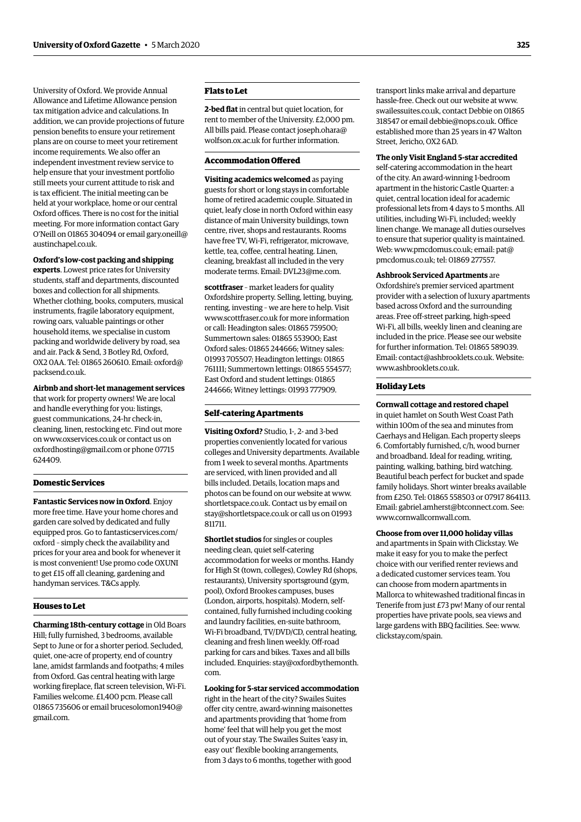University of Oxford. We provide Annual Allowance and Lifetime Allowance pension tax mitigation advice and calculations. In addition, we can provide projections of future pension benefits to ensure your retirement plans are on course to meet your retirement income requirements. We also offer an independent investment review service to help ensure that your investment portfolio still meets your current attitude to risk and is tax efficient. The initial meeting can be held at your workplace, home or our central Oxford offices. There is no cost for the initial meeting. For more information contact Gary O'Neill on 01865 304094 or email [gary.oneill@](mailto:gary.oneill@austinchapel.co.uk) [austinchapel.co.uk.](mailto:gary.oneill@austinchapel.co.uk)

#### **Oxford's low-cost packing and shipping**

**experts**. Lowest price rates for University students, staff and departments, discounted boxes and collection for all shipments. Whether clothing, books, computers, musical instruments, fragile laboratory equipment, rowing oars, valuable paintings or other household items, we specialise in custom packing and worldwide delivery by road, sea and air. Pack & Send, 3 Botley Rd, Oxford, OX2 0AA. Tel: 01865 260610. Email: [oxford@](mailto:oxford@packsend.co.uk) [packsend.co.uk](mailto:oxford@packsend.co.uk).

**Airbnb and short-let management services**  that work for property owners! We are local and handle everything for you: listings, guest communications, 24-hr check-in, cleaning, linen, restocking etc. Find out more on [www.oxservices.co.uk](http://www.oxservices.co.uk) or contact us on [oxfordhosting@gmail.com](mailto:oxfordhosting@gmail.com) or phone 07715 624409.

#### **Domestic Services**

**Fantastic Services now in Oxford**. Enjoy more free time. Have your home chores and garden care solved by dedicated and fully equipped pros. Go to [fantasticservices.com/](http://fantasticservices.com/oxford) [oxford](http://fantasticservices.com/oxford) – simply check the availability and prices for your area and book for whenever it is most convenient! Use promo code OXUNI to get £15 off all cleaning, gardening and handyman services. T&Cs apply.

#### **Houses to Let**

**Charming 18th-century cottage** in Old Boars Hill; fully furnished, 3 bedrooms, available Sept to June or for a shorter period. Secluded, quiet, one-acre of property, end of country lane, amidst farmlands and footpaths; 4 miles from Oxford. Gas central heating with large working fireplace, flat screen television, Wi-Fi. Families welcome. £1,400 pcm. Please call 01865 735606 or email [brucesolomon1940@](mailto:brucesolomon1940@gmail.com) [gmail.com.](mailto:brucesolomon1940@gmail.com)

#### **Flats to Let**

**2-bed flat** in central but quiet location, for rent to member of the University. £2,000 pm. All bills paid. Please contact [joseph.ohara@](mailto:joseph.ohara@wolfson.ox.ac.uk) [wolfson.ox.ac.uk](mailto:joseph.ohara@wolfson.ox.ac.uk) for further information.

#### **Accommodation Offered**

**Visiting academics welcomed** as paying guests for short or long stays in comfortable home of retired academic couple. Situated in quiet, leafy close in north Oxford within easy distance of main University buildings, town centre, river, shops and restaurants. Rooms have free TV, Wi-Fi, refrigerator, microwave, kettle, tea, coffee, central heating. Linen, cleaning, breakfast all included in the very moderate terms. Email: [DVL23@me.com.](mailto:DVL23@me.com)

**scottfraser** – market leaders for quality Oxfordshire property. Selling, letting, buying, renting, investing – we are here to help. Visit [www.scottfraser.co.uk](http://www.scottfraser.co.uk) for more information or call: Headington sales: 01865 759500; Summertown sales: 01865 553900; East Oxford sales: 01865 244666; Witney sales: 01993 705507; Headington lettings: 01865 761111; Summertown lettings: 01865 554577; East Oxford and student lettings: 01865 244666; Witney lettings: 01993 777909.

#### **Self-catering Apartments**

**Visiting Oxford?** Studio, 1-, 2- and 3-bed properties conveniently located for various colleges and University departments. Available from 1 week to several months. Apartments are serviced, with linen provided and all bills included. Details, location maps and photos can be found on our website at [www.](http://www.shortletspace.co.uk) [shortletspace.co.uk](http://www.shortletspace.co.uk). Contact us by email on [stay@shortletspace.co.uk](mailto:stay@shortletspace.co.uk) or call us on 01993 811711.

**Shortlet studios** for singles or couples needing clean, quiet self-catering accommodation for weeks or months. Handy for High St (town, colleges), Cowley Rd (shops, restaurants), University sportsground (gym, pool), Oxford Brookes campuses, buses (London, airports, hospitals). Modern, selfcontained, fully furnished including cooking and laundry facilities, en-suite bathroom, Wi-Fi broadband, TV/DVD/CD, central heating, cleaning and fresh linen weekly. Off-road parking for cars and bikes. Taxes and all bills included. Enquiries: [stay@oxfordbythemonth.](mailto:stay@oxfordbythemonth.com) [com.](mailto:stay@oxfordbythemonth.com)

#### **Looking for 5-star serviced accommodation**

right in the heart of the city? Swailes Suites offer city centre, award-winning maisonettes and apartments providing that 'home from home' feel that will help you get the most out of your stay. The Swailes Suites 'easy in, easy out' flexible booking arrangements, from 3 days to 6 months, together with good

transport links make arrival and departure hassle-free. Check out our website at [www.](http://www.swailessuites.co.uk) [swailessuites.co.uk](http://www.swailessuites.co.uk), contact Debbie on 01865 318547 or email [debbie@nops.co.uk](mailto:debbie@nops.co.uk). Office established more than 25 years in 47 Walton Street, Jericho, OX2 6AD.

#### **The only Visit England 5-star accredited**

self-catering accommodation in the heart of the city. An award-winning 1-bedroom apartment in the historic Castle Quarter: a quiet, central location ideal for academic professional lets from 4 days to 5 months. All utilities, including Wi-Fi, included; weekly linen change. We manage all duties ourselves to ensure that superior quality is maintained. Web: [www.pmcdomus.co.uk;](http://www.pmcdomus.co.uk) email: [pat@](mailto:pat@pmcdomus.co.uk) [pmcdomus.co.uk](mailto:pat@pmcdomus.co.uk); tel: 01869 277557.

#### **Ashbrook Serviced Apartments** are

Oxfordshire's premier serviced apartment provider with a selection of luxury apartments based across Oxford and the surrounding areas. Free off-street parking, high-speed Wi-Fi, all bills, weekly linen and cleaning are included in the price. Please see our website for further information. Tel: 01865 589039. Email: [contact@ashbrooklets.co.uk.](mailto:contact@ashbrooklets.co.uk) Website: [www.ashbrooklets.co.uk](http://www.ashbrooklets.co.uk).

#### **Holiday Lets**

#### **Cornwall cottage and restored chapel**

in quiet hamlet on South West Coast Path within 100m of the sea and minutes from Caerhays and Heligan. Each property sleeps 6. Comfortably furnished, c/h, wood burner and broadband. Ideal for reading, writing, painting, walking, bathing, bird watching. Beautiful beach perfect for bucket and spade family holidays. Short winter breaks available from £250. Tel: 01865 558503 or 07917 864113. Email: [gabriel.amherst@btconnect.com](mailto:gabriel.amherst@btconnect.com). See: [www.cornwallcornwall.com.](http://www.cornwallcornwall.com)

**Choose from over 11,000 holiday villas** and apartments in Spain with Clickstay. We make it easy for you to make the perfect choice with our verified renter reviews and a dedicated customer services team. You can choose from modern apartments in Mallorca to whitewashed traditional fincas in Tenerife from just £73 pw! Many of our rental properties have private pools, sea views and large gardens with BBQ facilities. See: [www.](http://www.clickstay.com/spain.) [clickstay.com/spain.](http://www.clickstay.com/spain.)